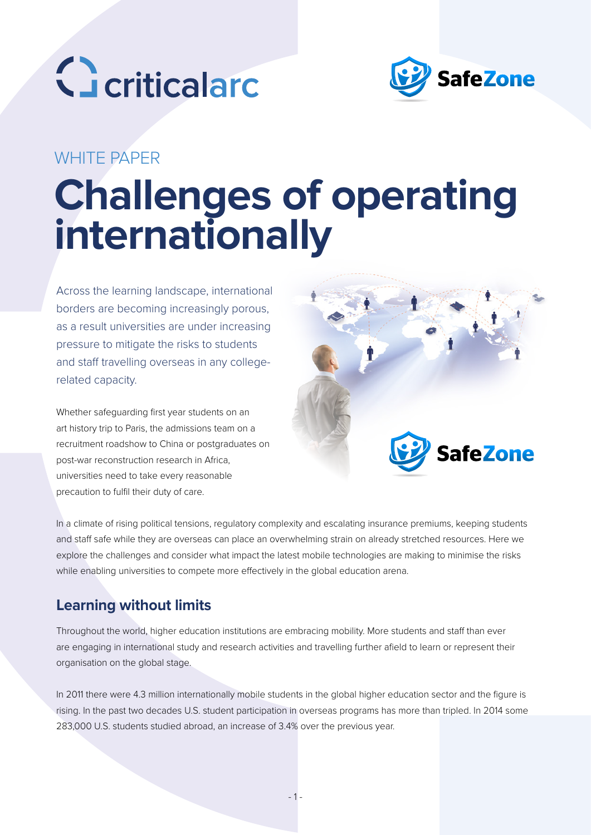



## WHITE PAPER

# **Challenges of operating internationally**

Across the learning landscape, international borders are becoming increasingly porous, as a result universities are under increasing pressure to mitigate the risks to students and staff travelling overseas in any collegerelated capacity.

Whether safeguarding first year students on an art history trip to Paris, the admissions team on a recruitment roadshow to China or postgraduates on post-war reconstruction research in Africa, universities need to take every reasonable precaution to fulfil their duty of care.



In a climate of rising political tensions, regulatory complexity and escalating insurance premiums, keeping students and staff safe while they are overseas can place an overwhelming strain on already stretched resources. Here we explore the challenges and consider what impact the latest mobile technologies are making to minimise the risks while enabling universities to compete more effectively in the global education arena.

## **Learning without limits**

Throughout the world, higher education institutions are embracing mobility. More students and staff than ever are engaging in international study and research activities and travelling further afield to learn or represent their organisation on the global stage.

In 2011 there were 4.3 million internationally mobile students in the global higher education sector and the figure is rising. In the past two decades U.S. student participation in overseas programs has more than tripled. In 2014 some 283,000 U.S. students studied abroad, an increase of 3.4% over the previous year.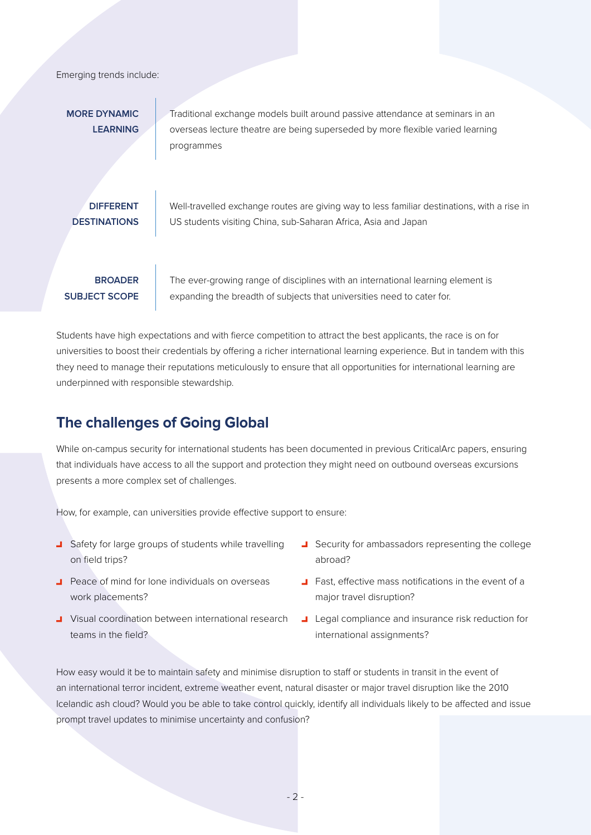Emerging trends include:

**MORE DYNAMIC LEARNING** Traditional exchange models built around passive attendance at seminars in an overseas lecture theatre are being superseded by more flexible varied learning programmes

**DIFFERENT DESTINATIONS** Well-travelled exchange routes are giving way to less familiar destinations, with a rise in US students visiting China, sub-Saharan Africa, Asia and Japan

**BROADER SUBJECT SCOPE**  The ever-growing range of disciplines with an international learning element is expanding the breadth of subjects that universities need to cater for.

Students have high expectations and with fierce competition to attract the best applicants, the race is on for universities to boost their credentials by offering a richer international learning experience. But in tandem with this they need to manage their reputations meticulously to ensure that all opportunities for international learning are underpinned with responsible stewardship.

## **The challenges of Going Global**

While on-campus security for international students has been documented in previous CriticalArc papers, ensuring that individuals have access to all the support and protection they might need on outbound overseas excursions presents a more complex set of challenges.

How, for example, can universities provide effective support to ensure:

- **J** Safety for large groups of students while travelling on field trips?
- Peace of mind for lone individuals on overseas work placements?
- **J** Visual coordination between international research teams in the field?
- Security for ambassadors representing the college abroad?
- **T** Fast, effective mass notifications in the event of a major travel disruption?
- Legal compliance and insurance risk reduction for international assignments?

How easy would it be to maintain safety and minimise disruption to staff or students in transit in the event of an international terror incident, extreme weather event, natural disaster or major travel disruption like the 2010 Icelandic ash cloud? Would you be able to take control quickly, identify all individuals likely to be affected and issue prompt travel updates to minimise uncertainty and confusion?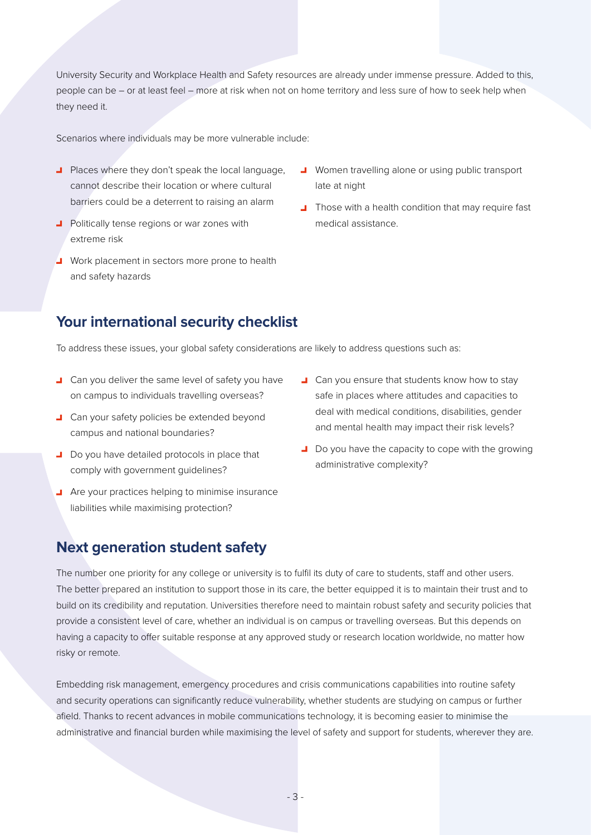University Security and Workplace Health and Safety resources are already under immense pressure. Added to this, people can be – or at least feel – more at risk when not on home territory and less sure of how to seek help when they need it.

Scenarios where individuals may be more vulnerable include:

- **Places where they don't speak the local language,** cannot describe their location or where cultural barriers could be a deterrent to raising an alarm
- **Politically tense regions or war zones with** extreme risk
- Work placement in sectors more prone to health and safety hazards
- **J** Women travelling alone or using public transport late at night
- **Those with a health condition that may require fast** medical assistance.

## **Your international security checklist**

To address these issues, your global safety considerations are likely to address questions such as:

- **L** Can you deliver the same level of safety you have on campus to individuals travelling overseas?
- **L** Can your safety policies be extended beyond campus and national boundaries?
- Do you have detailed protocols in place that comply with government guidelines?
- **Are your practices helping to minimise insurance** liabilities while maximising protection?
- **L** Can you ensure that students know how to stay safe in places where attitudes and capacities to deal with medical conditions, disabilities, gender and mental health may impact their risk levels?
- Do you have the capacity to cope with the growing administrative complexity?

## **Next generation student safety**

The number one priority for any college or university is to fulfil its duty of care to students, staff and other users. The better prepared an institution to support those in its care, the better equipped it is to maintain their trust and to build on its credibility and reputation. Universities therefore need to maintain robust safety and security policies that provide a consistent level of care, whether an individual is on campus or travelling overseas. But this depends on having a capacity to offer suitable response at any approved study or research location worldwide, no matter how risky or remote.

Embedding risk management, emergency procedures and crisis communications capabilities into routine safety and security operations can significantly reduce vulnerability, whether students are studying on campus or further afield. Thanks to recent advances in mobile communications technology, it is becoming easier to minimise the administrative and financial burden while maximising the level of safety and support for students, wherever they are.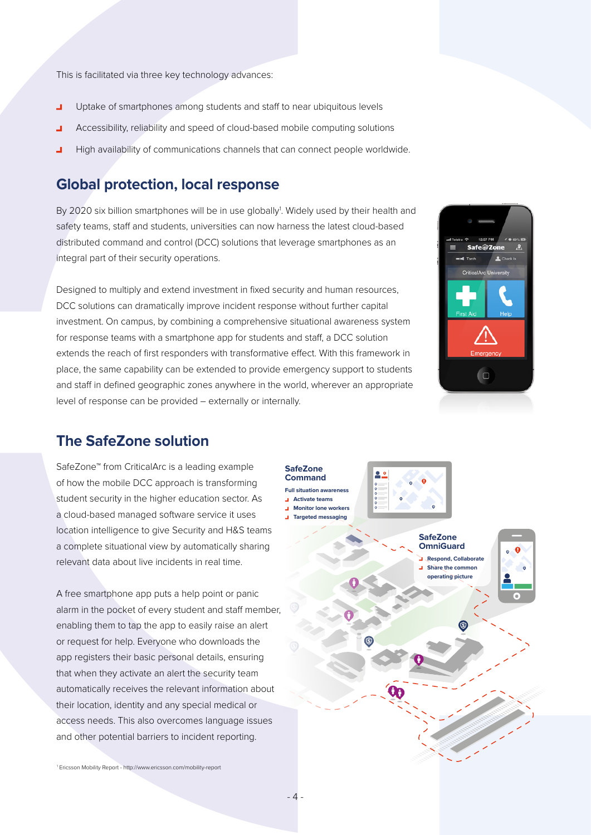This is facilitated via three key technology advances:

- Uptake of smartphones among students and staff to near ubiquitous levels  $\overline{\phantom{0}}$
- Accessibility, reliability and speed of cloud-based mobile computing solutions  $\overline{\phantom{0}}$
- High availability of communications channels that can connect people worldwide.

## **Global protection, local response**

By 2020 six billion smartphones will be in use globally<sup>1</sup>. Widely used by their health and safety teams, staff and students, universities can now harness the latest cloud-based distributed command and control (DCC) solutions that leverage smartphones as an integral part of their security operations.

Designed to multiply and extend investment in fixed security and human resources, DCC solutions can dramatically improve incident response without further capital investment. On campus, by combining a comprehensive situational awareness system for response teams with a smartphone app for students and staff, a DCC solution extends the reach of first responders with transformative effect. With this framework in place, the same capability can be extended to provide emergency support to students and staff in defined geographic zones anywhere in the world, wherever an appropriate level of response can be provided – externally or internally.



### **The SafeZone solution**

SafeZone™ from CriticalArc is a leading example of how the mobile DCC approach is transforming student security in the higher education sector. As a cloud-based managed software service it uses location intelligence to give Security and H&S teams a complete situational view by automatically sharing relevant data about live incidents in real time.

A free smartphone app puts a help point or panic alarm in the pocket of every student and staff member, enabling them to tap the app to easily raise an alert or request for help. Everyone who downloads the app registers their basic personal details, ensuring that when they activate an alert the security team automatically receives the relevant information about their location, identity and any special medical or access needs. This also overcomes language issues and other potential barriers to incident reporting.

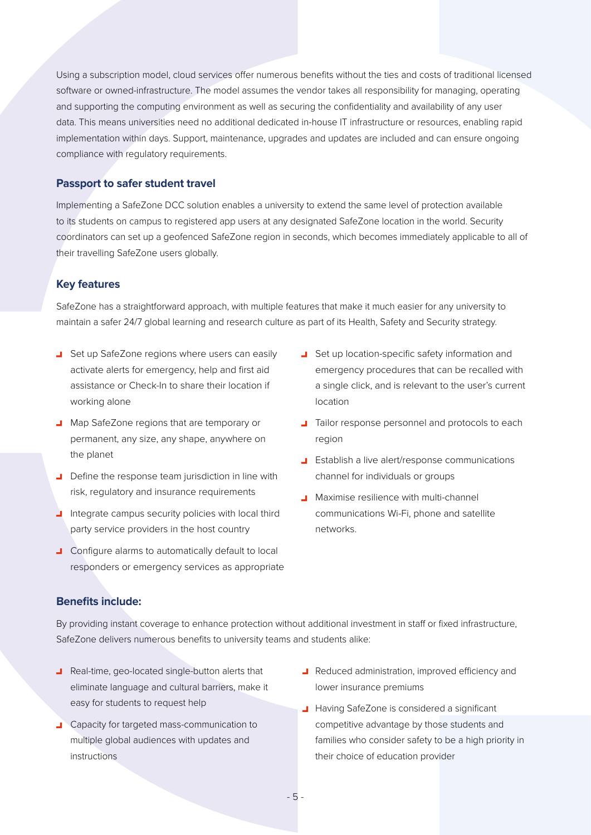Using a subscription model, cloud services offer numerous benefits without the ties and costs of traditional licensed software or owned-infrastructure. The model assumes the vendor takes all responsibility for managing, operating and supporting the computing environment as well as securing the confidentiality and availability of any user data. This means universities need no additional dedicated in-house IT infrastructure or resources, enabling rapid implementation within days. Support, maintenance, upgrades and updates are included and can ensure ongoing compliance with regulatory requirements.

#### **Passport to safer student travel**

Implementing a SafeZone DCC solution enables a university to extend the same level of protection available to its students on campus to registered app users at any designated SafeZone location in the world. Security coordinators can set up a geofenced SafeZone region in seconds, which becomes immediately applicable to all of their travelling SafeZone users globally.

#### **Key features**

SafeZone has a straightforward approach, with multiple features that make it much easier for any university to maintain a safer 24/7 global learning and research culture as part of its Health, Safety and Security strategy.

- Set up SafeZone regions where users can easily activate alerts for emergency, help and first aid assistance or Check-In to share their location if working alone
- Map SafeZone regions that are temporary or permanent, any size, any shape, anywhere on the planet
- Define the response team jurisdiction in line with risk, regulatory and insurance requirements
- I Integrate campus security policies with local third party service providers in the host country
- **J** Configure alarms to automatically default to local responders or emergency services as appropriate
- Set up location-specific safety information and emergency procedures that can be recalled with a single click, and is relevant to the user's current location
- **Tailor response personnel and protocols to each** region
- **Establish a live alert/response communications** channel for individuals or groups
- **J** Maximise resilience with multi-channel communications Wi-Fi, phone and satellite networks.

#### **Benefits include:**

By providing instant coverage to enhance protection without additional investment in staff or fixed infrastructure, SafeZone delivers numerous benefits to university teams and students alike:

- **B** Real-time, geo-located single-button alerts that eliminate language and cultural barriers, make it easy for students to request help
- **Capacity for targeted mass-communication to** multiple global audiences with updates and instructions
- **A** Reduced administration, improved efficiency and lower insurance premiums
- **Having SafeZone is considered a significant** competitive advantage by those students and families who consider safety to be a high priority in their choice of education provider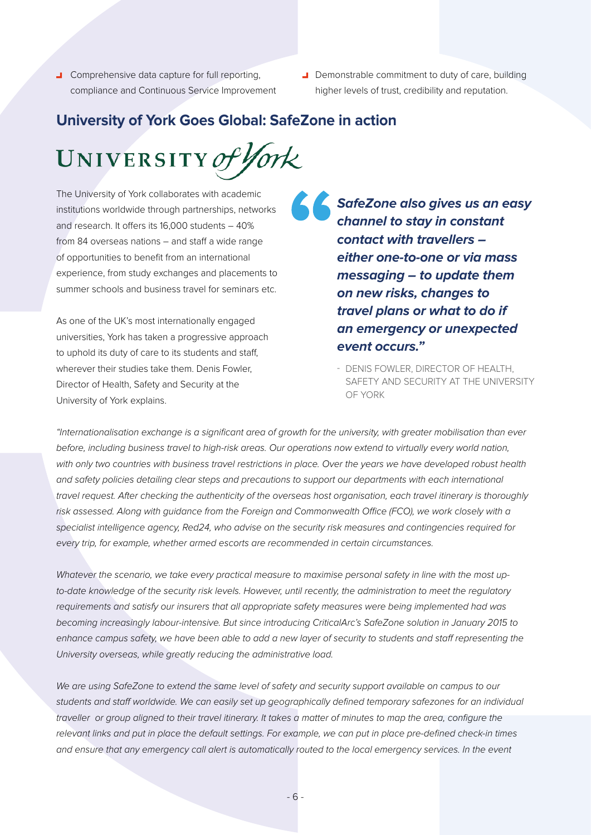- **J** Comprehensive data capture for full reporting, compliance and Continuous Service Improvement
- Demonstrable commitment to duty of care, building higher levels of trust, credibility and reputation.

## **University of York Goes Global: SafeZone in action**

UNIVERSITY of York

The University of York collaborates with academic institutions worldwide through partnerships, networks and research. It offers its 16,000 students – 40% from 84 overseas nations – and staff a wide range of opportunities to benefit from an international experience, from study exchanges and placements to summer schools and business travel for seminars etc.

As one of the UK's most internationally engaged universities, York has taken a progressive approach to uphold its duty of care to its students and staff, wherever their studies take them. Denis Fowler, Director of Health, Safety and Security at the University of York explains.

**SafeZone also gives us an easy channel to stay in constant contact with travellers – either one-to-one or via mass messaging – to update them on new risks, changes to travel plans or what to do if an emergency or unexpected event occurs."** 

- DENIS FOWLER, DIRECTOR OF HEALTH, SAFETY AND SECURITY AT THE UNIVERSITY OF YORK

*"Internationalisation exchange is a significant area of growth for the university, with greater mobilisation than ever before, including business travel to high-risk areas. Our operations now extend to virtually every world nation,*  with only two countries with business travel restrictions in place. Over the years we have developed robust health and safety policies detailing clear steps and precautions to support our departments with each international *travel request. After checking the authenticity of the overseas host organisation, each travel itinerary is thoroughly risk assessed. Along with guidance from the Foreign and Commonwealth Office (FCO), we work closely with a specialist intelligence agency, Red24, who advise on the security risk measures and contingencies required for every trip, for example, whether armed escorts are recommended in certain circumstances.* 

*Whatever the scenario, we take every practical measure to maximise personal safety in line with the most upto-date knowledge of the security risk levels. However, until recently, the administration to meet the regulatory requirements and satisfy our insurers that all appropriate safety measures were being implemented had was becoming increasingly labour-intensive. But since introducing CriticalArc's SafeZone solution in January 2015 to*  enhance campus safety, we have been able to add a new layer of security to students and staff representing the *University overseas, while greatly reducing the administrative load.* 

We are using SafeZone to extend the same level of safety and security support available on campus to our *students and staff worldwide. We can easily set up geographically defined temporary safezones for an individual traveller or group aligned to their travel itinerary. It takes a matter of minutes to map the area, configure the* relevant links and put in place the default settings. For example, we can put in place pre-defined check-in times and ensure that any emergency call alert is automatically routed to the local emergency services. In the event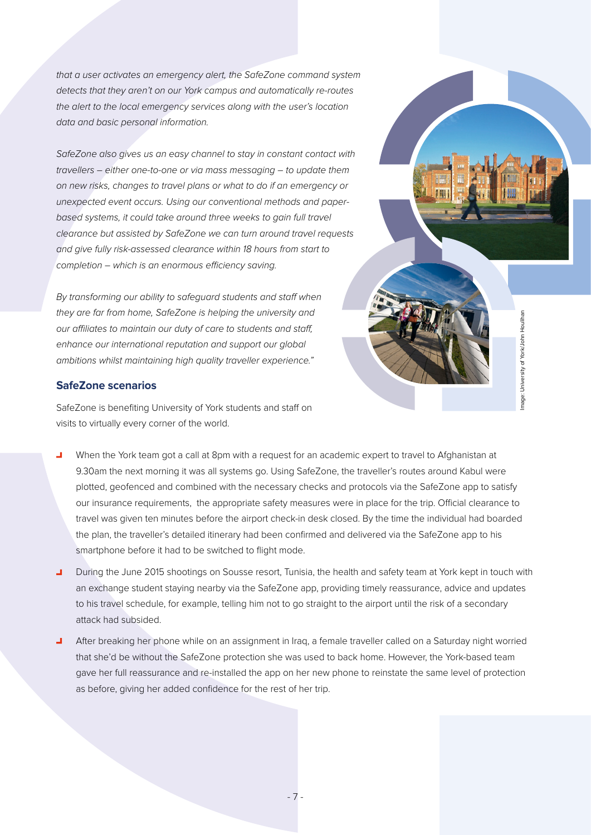*that a user activates an emergency alert, the SafeZone command system detects that they aren't on our York campus and automatically re-routes the alert to the local emergency services along with the user's location data and basic personal information.* 

*SafeZone also gives us an easy channel to stay in constant contact with travellers – either one-to-one or via mass messaging – to update them on new risks, changes to travel plans or what to do if an emergency or unexpected event occurs. Using our conventional methods and paperbased systems, it could take around three weeks to gain full travel clearance but assisted by SafeZone we can turn around travel requests and give fully risk-assessed clearance within 18 hours from start to completion – which is an enormous efficiency saving.* 

*By transforming our ability to safeguard students and staff when they are far from home, SafeZone is helping the university and our affiliates to maintain our duty of care to students and staff, enhance our international reputation and support our global ambitions whilst maintaining high quality traveller experience."*

### **SafeZone scenarios**

SafeZone is benefiting University of York students and staff on visits to virtually every corner of the world.



Image: University of York/John Houlihan Image: University of York/John Houlihan

- When the York team got a call at 8pm with a request for an academic expert to travel to Afghanistan at ш 9.30am the next morning it was all systems go. Using SafeZone, the traveller's routes around Kabul were plotted, geofenced and combined with the necessary checks and protocols via the SafeZone app to satisfy our insurance requirements, the appropriate safety measures were in place for the trip. Official clearance to travel was given ten minutes before the airport check-in desk closed. By the time the individual had boarded the plan, the traveller's detailed itinerary had been confirmed and delivered via the SafeZone app to his smartphone before it had to be switched to flight mode.
- During the June 2015 shootings on Sousse resort, Tunisia, the health and safety team at York kept in touch with  $\blacksquare$ an exchange student staying nearby via the SafeZone app, providing timely reassurance, advice and updates to his travel schedule, for example, telling him not to go straight to the airport until the risk of a secondary attack had subsided.
- After breaking her phone while on an assignment in Iraq, a female traveller called on a Saturday night worried that she'd be without the SafeZone protection she was used to back home. However, the York-based team gave her full reassurance and re-installed the app on her new phone to reinstate the same level of protection as before, giving her added confidence for the rest of her trip.